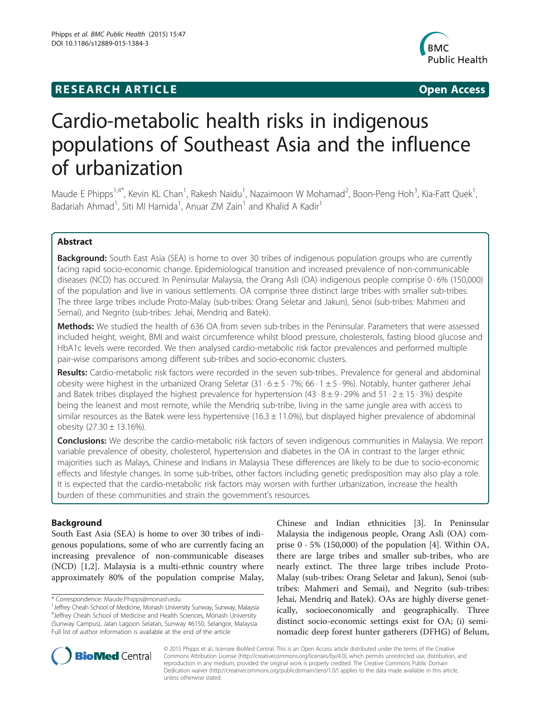# **RESEARCH ARTICLE Example 2014 12:30 The SEAR CHA R TIGGS**



# Cardio-metabolic health risks in indigenous populations of Southeast Asia and the influence of urbanization

Maude E Phipps<sup>1,4\*</sup>, Kevin KL Chan<sup>1</sup>, Rakesh Naidu<sup>1</sup>, Nazaimoon W Mohamad<sup>2</sup>, Boon-Peng Hoh<sup>3</sup>, Kia-Fatt Quek<sup>1</sup> , Badariah Ahmad<sup>1</sup>, Siti MI Harnida<sup>1</sup>, Anuar ZM Zain<sup>1</sup> and Khalid A Kadir<sup>1</sup>

# Abstract

**Background:** South East Asia (SEA) is home to over 30 tribes of indigenous population groups who are currently facing rapid socio-economic change. Epidemiological transition and increased prevalence of non-communicable diseases (NCD) has occured. In Peninsular Malaysia, the Orang Asli (OA) indigenous people comprise 0 · 6% (150,000) of the population and live in various settlements. OA comprise three distinct large tribes with smaller sub-tribes. The three large tribes include Proto-Malay (sub-tribes: Orang Seletar and Jakun), Senoi (sub-tribes: Mahmeri and Semai), and Negrito (sub-tribes: Jehai, Mendriq and Batek).

Methods: We studied the health of 636 OA from seven sub-tribes in the Peninsular. Parameters that were assessed included height, weight, BMI and waist circumference whilst blood pressure, cholesterols, fasting blood glucose and HbA1c levels were recorded. We then analysed cardio-metabolic risk factor prevalences and performed multiple pair-wise comparisons among different sub-tribes and socio-economic clusters.

Results: Cardio-metabolic risk factors were recorded in the seven sub-tribes.. Prevalence for general and abdominal obesity were highest in the urbanized Orang Seletar (31  $\cdot$  6 ± 5  $\cdot$  7%; 66  $\cdot$  1 ± 5  $\cdot$  9%). Notably, hunter gatherer Jehai and Batek tribes displayed the highest prevalence for hypertension  $(43 \cdot 8 \pm 9 \cdot 29\%$  and  $51 \cdot 2 \pm 15 \cdot 3\%)$  despite being the leanest and most remote, while the Mendriq sub-tribe, living in the same jungle area with access to similar resources as the Batek were less hypertensive (16.3  $\pm$  11.0%), but displayed higher prevalence of abdominal obesity  $(27.30 \pm 13.16\%).$ 

**Conclusions:** We describe the cardio-metabolic risk factors of seven indigenous communities in Malaysia. We report variable prevalence of obesity, cholesterol, hypertension and diabetes in the OA in contrast to the larger ethnic majorities such as Malays, Chinese and Indians in Malaysia These differences are likely to be due to socio-economic effects and lifestyle changes. In some sub-tribes, other factors including genetic predisposition may also play a role. It is expected that the cardio-metabolic risk factors may worsen with further urbanization, increase the health burden of these communities and strain the government's resources.

# Background

South East Asia (SEA) is home to over 30 tribes of indigenous populations, some of who are currently facing an increasing prevalence of non-communicable diseases (NCD) [\[1,2](#page-7-0)]. Malaysia is a multi-ethnic country where approximately 80% of the population comprise Malay,

Chinese and Indian ethnicities [[3\]](#page-7-0). In Peninsular Malaysia the indigenous people, Orang Asli (OA) comprise  $0.5\%$  (150,000) of the population [[4\]](#page-7-0). Within OA, there are large tribes and smaller sub-tribes, who are nearly extinct. The three large tribes include Proto-Malay (sub-tribes: Orang Seletar and Jakun), Senoi (subtribes: Mahmeri and Semai), and Negrito (sub-tribes: Jehai, Mendriq and Batek). OAs are highly diverse genetically, socioeconomically and geographically. Three distinct socio-economic settings exist for OA; (i) seminomadic deep forest hunter gatherers (DFHG) of Belum,



© 2015 Phipps et al.; licensee BioMed Central. This is an Open Access article distributed under the terms of the Creative Commons Attribution License [\(http://creativecommons.org/licenses/by/4.0\)](http://creativecommons.org/licenses/by/4.0), which permits unrestricted use, distribution, and reproduction in any medium, provided the original work is properly credited. The Creative Commons Public Domain Dedication waiver [\(http://creativecommons.org/publicdomain/zero/1.0/](http://creativecommons.org/publicdomain/zero/1.0/)) applies to the data made available in this article, unless otherwise stated.

<sup>\*</sup> Correspondence: [Maude.Phipps@monash.edu](mailto:Maude.Phipps@monash.edu) <sup>1</sup>

<sup>&</sup>lt;sup>1</sup> Jeffrey Cheah School of Medicine, Monash University Sunway, Sunway, Malaysia <sup>4</sup> Jeffrey Cheah School of Medicine and Health Sciences, Monash University (Sunway Campus), Jalan Lagoon Selatan, Sunway 46150, Selangor, Malaysia Full list of author information is available at the end of the article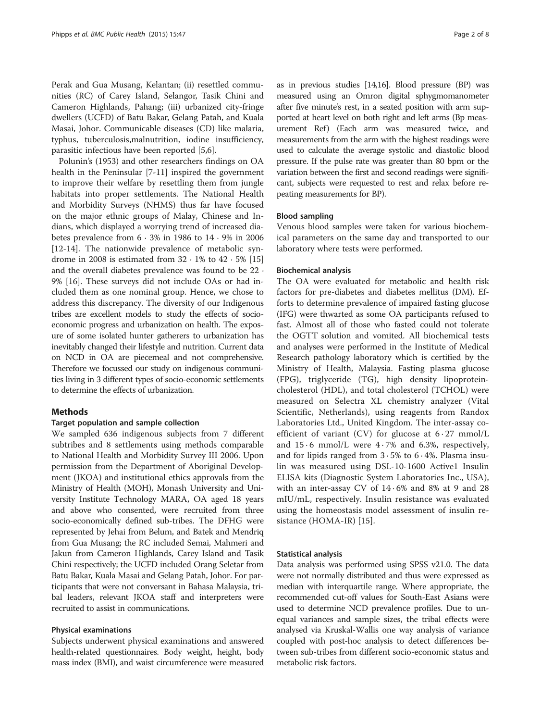Perak and Gua Musang, Kelantan; (ii) resettled communities (RC) of Carey Island, Selangor, Tasik Chini and Cameron Highlands, Pahang; (iii) urbanized city-fringe dwellers (UCFD) of Batu Bakar, Gelang Patah, and Kuala Masai, Johor. Communicable diseases (CD) like malaria, typhus, tuberculosis,malnutrition, iodine insufficiency, parasitic infectious have been reported [\[5,6](#page-7-0)].

Polunin's (1953) and other researchers findings on OA health in the Peninsular [\[7](#page-7-0)-[11\]](#page-7-0) inspired the government to improve their welfare by resettling them from jungle habitats into proper settlements. The National Health and Morbidity Surveys (NHMS) thus far have focused on the major ethnic groups of Malay, Chinese and Indians, which displayed a worrying trend of increased diabetes prevalence from  $6 \cdot 3\%$  in 1986 to  $14 \cdot 9\%$  in 2006 [[12-14](#page-7-0)]. The nationwide prevalence of metabolic syndrome in 2008 is estimated from  $32 \cdot 1\%$  to  $42 \cdot 5\%$  [[15](#page-7-0)] and the overall diabetes prevalence was found to be 22 · 9% [[16](#page-7-0)]. These surveys did not include OAs or had included them as one nominal group. Hence, we chose to address this discrepancy. The diversity of our Indigenous tribes are excellent models to study the effects of socioeconomic progress and urbanization on health. The exposure of some isolated hunter gatherers to urbanization has inevitably changed their lifestyle and nutrition. Current data on NCD in OA are piecemeal and not comprehensive. Therefore we focussed our study on indigenous communities living in 3 different types of socio-economic settlements to determine the effects of urbanization.

#### **Methods**

## Target population and sample collection

We sampled 636 indigenous subjects from 7 different subtribes and 8 settlements using methods comparable to National Health and Morbidity Survey III 2006. Upon permission from the Department of Aboriginal Development (JKOA) and institutional ethics approvals from the Ministry of Health (MOH), Monash University and University Institute Technology MARA, OA aged 18 years and above who consented, were recruited from three socio-economically defined sub-tribes. The DFHG were represented by Jehai from Belum, and Batek and Mendriq from Gua Musang; the RC included Semai, Mahmeri and Jakun from Cameron Highlands, Carey Island and Tasik Chini respectively; the UCFD included Orang Seletar from Batu Bakar, Kuala Masai and Gelang Patah, Johor. For participants that were not conversant in Bahasa Malaysia, tribal leaders, relevant JKOA staff and interpreters were recruited to assist in communications.

#### Physical examinations

Subjects underwent physical examinations and answered health-related questionnaires. Body weight, height, body mass index (BMI), and waist circumference were measured

as in previous studies [\[14,16](#page-7-0)]. Blood pressure (BP) was measured using an Omron digital sphygmomanometer after five minute's rest, in a seated position with arm supported at heart level on both right and left arms (Bp measurement Ref) (Each arm was measured twice, and measurements from the arm with the highest readings were used to calculate the average systolic and diastolic blood pressure. If the pulse rate was greater than 80 bpm or the variation between the first and second readings were significant, subjects were requested to rest and relax before repeating measurements for BP).

#### Blood sampling

Venous blood samples were taken for various biochemical parameters on the same day and transported to our laboratory where tests were performed.

#### Biochemical analysis

The OA were evaluated for metabolic and health risk factors for pre-diabetes and diabetes mellitus (DM). Efforts to determine prevalence of impaired fasting glucose (IFG) were thwarted as some OA participants refused to fast. Almost all of those who fasted could not tolerate the OGTT solution and vomited. All biochemical tests and analyses were performed in the Institute of Medical Research pathology laboratory which is certified by the Ministry of Health, Malaysia. Fasting plasma glucose (FPG), triglyceride (TG), high density lipoproteincholesterol (HDL), and total cholesterol (TCHOL) were measured on Selectra XL chemistry analyzer (Vital Scientific, Netherlands), using reagents from Randox Laboratories Ltd., United Kingdom. The inter-assay coefficient of variant (CV) for glucose at  $6 \cdot 27$  mmol/L and  $15 \cdot 6$  mmol/L were  $4 \cdot 7\%$  and 6.3%, respectively, and for lipids ranged from  $3.5\%$  to  $6.4\%$ . Plasma insulin was measured using DSL-10-1600 Active1 Insulin ELISA kits (Diagnostic System Laboratories Inc., USA), with an inter-assay CV of  $14 \cdot 6\%$  and  $8\%$  at 9 and 28 mIU/mL, respectively. Insulin resistance was evaluated using the homeostasis model assessment of insulin resistance (HOMA-IR) [[15\]](#page-7-0).

#### Statistical analysis

Data analysis was performed using SPSS v21.0. The data were not normally distributed and thus were expressed as median with interquartile range. Where appropriate, the recommended cut-off values for South-East Asians were used to determine NCD prevalence profiles. Due to unequal variances and sample sizes, the tribal effects were analysed via Kruskal-Wallis one way analysis of variance coupled with post-hoc analysis to detect differences between sub-tribes from different socio-economic status and metabolic risk factors.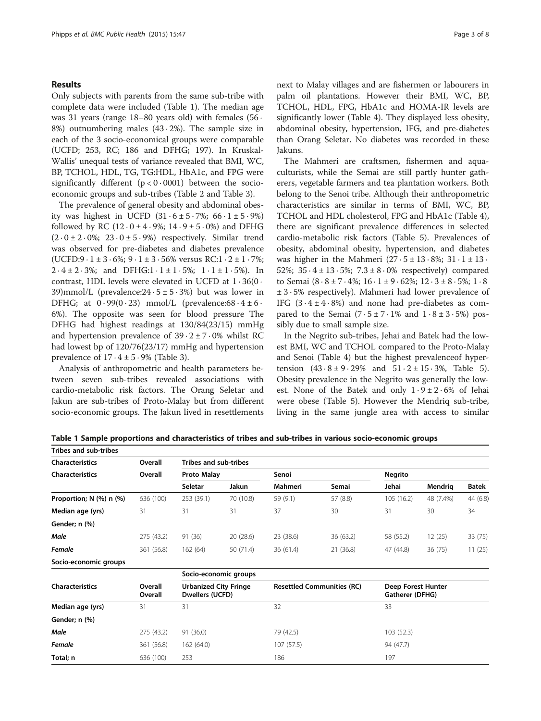#### Results

Only subjects with parents from the same sub-tribe with complete data were included (Table 1). The median age was 31 years (range  $18-80$  years old) with females (56  $\cdot$ 8%) outnumbering males  $(43.2\%)$ . The sample size in each of the 3 socio-economical groups were comparable (UCFD; 253, RC; 186 and DFHG; 197). In Kruskal-Wallis' unequal tests of variance revealed that BMI, WC, BP, TCHOL, HDL, TG, TG:HDL, HbA1c, and FPG were significantly different  $(p < 0.0001)$  between the socioeconomic groups and sub-tribes (Table [2](#page-3-0) and Table [3\)](#page-3-0).

The prevalence of general obesity and abdominal obesity was highest in UCFD  $(31 \cdot 6 \pm 5 \cdot 7\%)$ ;  $66 \cdot 1 \pm 5 \cdot 9\%)$ followed by RC  $(12 \cdot 0 \pm 4 \cdot 9\%)$ ;  $14 \cdot 9 \pm 5 \cdot 0\%)$  and DFHG  $(2 \cdot 0 \pm 2 \cdot 0\%)$ ;  $(2 \cdot 0 \pm 5 \cdot 9\%)$  respectively. Similar trend was observed for pre-diabetes and diabetes prevalence (UCFD: $9 \cdot 1 \pm 3 \cdot 6\%$ ;  $9 \cdot 1 \pm 3 \cdot 56\%$  versus RC: $1 \cdot 2 \pm 1 \cdot 7\%$ ;  $2 \cdot 4 \pm 2 \cdot 3\%$ ; and DFHG: $1 \cdot 1 \pm 1 \cdot 5\%$ ;  $1 \cdot 1 \pm 1 \cdot 5\%$ ). In contrast, HDL levels were elevated in UCFD at 1 · 36(0 · 39)mmol/L (prevalence: $24 \cdot 5 \pm 5 \cdot 3$ %) but was lower in DFHG; at  $0.99(0.23)$  mmol/L (prevalence:  $68.4 \pm 6.4$ 6%). The opposite was seen for blood pressure The DFHG had highest readings at 130/84(23/15) mmHg and hypertension prevalence of  $39.2 \pm 7.0\%$  whilst RC had lowest bp of 120/76(23/17) mmHg and hypertension prevalence of  $17 \cdot 4 \pm 5 \cdot 9\%$  (Table [3](#page-3-0)).

Analysis of anthropometric and health parameters between seven sub-tribes revealed associations with cardio-metabolic risk factors. The Orang Seletar and Jakun are sub-tribes of Proto-Malay but from different socio-economic groups. The Jakun lived in resettlements next to Malay villages and are fishermen or labourers in palm oil plantations. However their BMI, WC, BP, TCHOL, HDL, FPG, HbA1c and HOMA-IR levels are significantly lower (Table [4](#page-4-0)). They displayed less obesity, abdominal obesity, hypertension, IFG, and pre-diabetes than Orang Seletar. No diabetes was recorded in these Jakuns.

The Mahmeri are craftsmen, fishermen and aquaculturists, while the Semai are still partly hunter gatherers, vegetable farmers and tea plantation workers. Both belong to the Senoi tribe. Although their anthropometric characteristics are similar in terms of BMI, WC, BP, TCHOL and HDL cholesterol, FPG and HbA1c (Table [4](#page-4-0)), there are significant prevalence differences in selected cardio-metabolic risk factors (Table [5](#page-5-0)). Prevalences of obesity, abdominal obesity, hypertension, and diabetes was higher in the Mahmeri  $(27 \cdot 5 \pm 13 \cdot 8\%)$ ;  $31 \cdot 1 \pm 13 \cdot$ 52%;  $35 \cdot 4 \pm 13 \cdot 5$ %;  $7.3 \pm 8 \cdot 0$ % respectively) compared to Semai  $(8.8 \pm 7.4\%; 16.1 \pm 9.62\%; 12.3 \pm 8.5\%; 1.8$  $\pm$  3  $\cdot$  5% respectively). Mahmeri had lower prevalence of IFG  $(3.4 \pm 4.8\%)$  and none had pre-diabetes as compared to the Semai  $(7 \cdot 5 \pm 7 \cdot 1\%)$  and  $1 \cdot 8 \pm 3 \cdot 5\%)$  possibly due to small sample size.

In the Negrito sub-tribes, Jehai and Batek had the lowest BMI, WC and TCHOL compared to the Proto-Malay and Senoi (Table [4](#page-4-0)) but the highest prevalenceof hypertension  $(43.8 \pm 9.29\%$  and  $51.2 \pm 15.3\%$ , Table [5](#page-5-0)). Obesity prevalence in the Negrito was generally the lowest. None of the Batek and only  $1.9 \pm 2.6\%$  of Jehai were obese (Table [5\)](#page-5-0). However the Mendriq sub-tribe, living in the same jungle area with access to similar

Table 1 Sample proportions and characteristics of tribes and sub-tribes in various socio-economic groups

| <b>Tribes and sub-tribes</b> |                    |                                                 |                       |                                   |           |                                       |           |          |
|------------------------------|--------------------|-------------------------------------------------|-----------------------|-----------------------------------|-----------|---------------------------------------|-----------|----------|
| <b>Characteristics</b>       | Overall            | <b>Tribes and sub-tribes</b>                    |                       |                                   |           |                                       |           |          |
| <b>Characteristics</b>       | Overall            | <b>Proto Malay</b>                              |                       | Senoi                             |           | <b>Negrito</b>                        |           |          |
|                              |                    | Seletar                                         | Jakun                 | Mahmeri                           | Semai     | Jehai                                 | Mendrig   | Batek    |
| Proportion; N (%) n (%)      | 636 (100)          | 253 (39.1)                                      | 70 (10.8)             | 59 (9.1)                          | 57 (8.8)  | 105(16.2)                             | 48 (7.4%) | 44 (6.8) |
| Median age (yrs)             | 31                 | 31                                              | 31                    | 37                                | 30        | 31                                    | 30        | 34       |
| Gender; n (%)                |                    |                                                 |                       |                                   |           |                                       |           |          |
| Male                         | 275(43.2)          | 91 (36)                                         | 20(28.6)              | 23 (38.6)                         | 36 (63.2) | 58 (55.2)                             | 12(25)    | 33(75)   |
| <b>Female</b>                | 361 (56.8)         | 162(64)                                         | 50 (71.4)             | 36(61.4)                          | 21(36.8)  | 47 (44.8)                             | 36(75)    | 11(25)   |
| Socio-economic groups        |                    |                                                 |                       |                                   |           |                                       |           |          |
|                              |                    |                                                 | Socio-economic groups |                                   |           |                                       |           |          |
| <b>Characteristics</b>       | Overall<br>Overall | <b>Urbanized City Fringe</b><br>Dwellers (UCFD) |                       | <b>Resettled Communities (RC)</b> |           | Deep Forest Hunter<br>Gatherer (DFHG) |           |          |
| Median age (yrs)             | 31                 | 31                                              |                       | 32                                |           | 33                                    |           |          |
| Gender; n (%)                |                    |                                                 |                       |                                   |           |                                       |           |          |
| Male                         | 275(43.2)          | 91(36.0)                                        |                       | 79 (42.5)                         |           | 103(52.3)                             |           |          |
| <b>Female</b>                | 361 (56.8)         | 162(64.0)                                       |                       | 107(57.5)                         |           | 94 (47.7)                             |           |          |
| Total; n                     | 636 (100)          | 253                                             |                       | 186                               |           | 197                                   |           |          |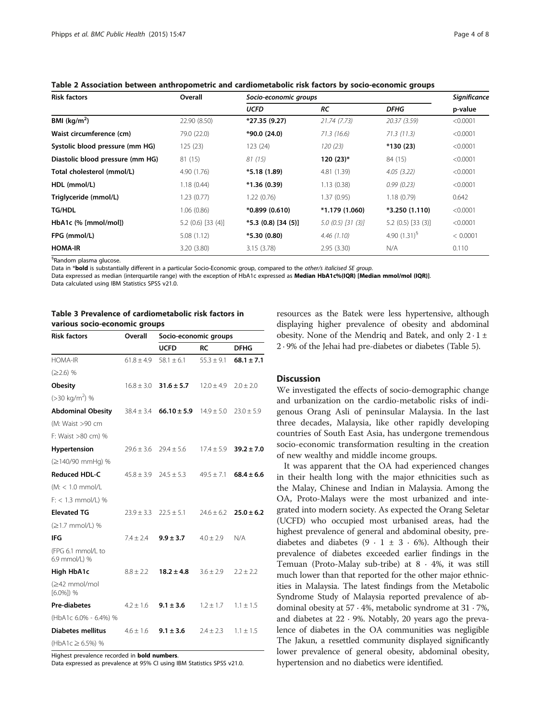| <b>Risk factors</b>              | Overall              | Socio-economic groups | Significance    |                      |          |
|----------------------------------|----------------------|-----------------------|-----------------|----------------------|----------|
|                                  |                      | <b>UCFD</b>           | RC              | <b>DFHG</b>          | p-value  |
| BMI $(kq/m^2)$                   | 22.90 (8.50)         | *27.35 (9.27)         | 21.74(7.73)     | 20.37 (3.59)         | < 0.0001 |
| Waist circumference (cm)         | 79.0 (22.0)          | *90.0 (24.0)          | 71.3(16.6)      | 71.3(11.3)           | < 0.0001 |
| Systolic blood pressure (mm HG)  | 125(23)              | 123 (24)              | 120(23)         | *130 (23)            | < 0.0001 |
| Diastolic blood pressure (mm HG) | 81 (15)              | 81(15)                | $120(23)*$      | 84 (15)              | < 0.0001 |
| Total cholesterol (mmol/L)       | 4.90 (1.76)          | $*5.18(1.89)$         | 4.81 (1.39)     | 4.05(3.22)           | < 0.0001 |
| HDL (mmol/L)                     | 1.18(0.44)           | $*1.36(0.39)$         | 1.13(0.38)      | 0.99(0.23)           | < 0.0001 |
| Triglyceride (mmol/L)            | 1.23(0.77)           | 1.22(0.76)            | 1.37(0.95)      | 1.18(0.79)           | 0.642    |
| <b>TG/HDL</b>                    | 1.06(0.86)           | $*0.899(0.610)$       | *1.179 (1.060)  | *3.250 (1.110)       | < 0.0001 |
| HbA1c (% [mmol/mol])             | $5.2$ (0.6) [33 (4)] | $*5.3$ (0.8) [34 (5)] | 5.0(0.5)[31(3)] | $5.2$ (0.5) [33 (3)] | < 0.0001 |
| FPG (mmol/L)                     | 5.08(1.12)           | $*5.30(0.80)$         | 4.46(1.10)      | 4.90 $(1.31)^{9}$    | < 0.0001 |
| <b>HOMA-IR</b>                   | 3.20(3.80)           | 3.15(3.78)            | 2.95(3.30)      | N/A                  | 0.110    |

<span id="page-3-0"></span>Table 2 Association between anthropometric and cardiometabolic risk factors by socio-economic groups

§ Random plasma glucose.

Data in \*bold is substantially different in a particular Socio-Economic group, compared to the other/s italicised SE group.

Data expressed as median (interquartile range) with the exception of HbA1c expressed as Median HbA1c%(IQR) [Median mmol/mol (IQR)].

Data calculated using IBM Statistics SPSS v21.0.

| Table 3 Prevalence of cardiometabolic risk factors in |
|-------------------------------------------------------|
| various socio-economic groups                         |

| <b>Risk factors</b>                  | Overall        | Socio-economic groups |                |                |  |  |
|--------------------------------------|----------------|-----------------------|----------------|----------------|--|--|
|                                      |                | <b>UCFD</b>           | RC             | <b>DFHG</b>    |  |  |
| <b>HOMA-IR</b>                       | $61.8 \pm 4.9$ | $58.1 \pm 6.1$        | $55.3 \pm 9.1$ | $68.1 \pm 7.1$ |  |  |
| $(\geq 2.6)$ %                       |                |                       |                |                |  |  |
| Obesity                              | $16.8 \pm 3.0$ | $31.6 \pm 5.7$        | $12.0 \pm 4.9$ | $2.0 \pm 2.0$  |  |  |
| $(>30 \text{ kg/m}^2)$ %             |                |                       |                |                |  |  |
| <b>Abdominal Obesity</b>             | $38.4 \pm 3.4$ | $66.10 \pm 5.9$       | $14.9 \pm 5.0$ | $23.0 \pm 5.9$ |  |  |
| (M: Waist >90 cm                     |                |                       |                |                |  |  |
| F: Waist >80 cm) %                   |                |                       |                |                |  |  |
| Hypertension                         | $29.6 \pm 3.6$ | $79.4 + 5.6$          | $17.4 \pm 5.9$ | $39.2 \pm 7.0$ |  |  |
| (≥140/90 mmHg) %                     |                |                       |                |                |  |  |
| <b>Reduced HDL-C</b>                 | $45.8 \pm 3.9$ | $74.5 + 5.3$          | $49.5 + 7.1$   | $68.4 \pm 6.6$ |  |  |
| $(M: < 1.0$ mmol/L                   |                |                       |                |                |  |  |
| $F:$ < 1.3 mmol/L) %                 |                |                       |                |                |  |  |
| <b>Elevated TG</b>                   | $23.9 \pm 3.3$ | $22.5 \pm 5.1$        | $24.6 \pm 6.2$ | $25.0 \pm 6.2$ |  |  |
| (≥1.7 mmol/L) %                      |                |                       |                |                |  |  |
| <b>IFG</b>                           | $7.4 \pm 2.4$  | $9.9 \pm 3.7$         | $4.0 \pm 2.9$  | N/A            |  |  |
| (FPG 6.1 mmol/L to<br>6.9 mmol/L) %  |                |                       |                |                |  |  |
| High HbA1c                           | $8.8 \pm 2.2$  | $18.2 \pm 4.8$        | $3.6 \pm 2.9$  | $2.2 \pm 2.2$  |  |  |
| $(\geq 42$ mmol/mol<br>$[6.0\%]$ ) % |                |                       |                |                |  |  |
| <b>Pre-diabetes</b>                  | $4.2 \pm 1.6$  | $9.1 \pm 3.6$         | $1.2 \pm 1.7$  | $1.1 \pm 1.5$  |  |  |
| (HbA1c 6.0% - 6.4%) %                |                |                       |                |                |  |  |
| <b>Diabetes mellitus</b>             | $4.6 \pm 1.6$  | $9.1 \pm 3.6$         | $2.4 \pm 2.3$  | $1.1 \pm 1.5$  |  |  |
| (HbA1c $\geq$ 6.5%) %                |                |                       |                |                |  |  |

Highest prevalence recorded in **bold numbers**.

Data expressed as prevalence at 95% CI using IBM Statistics SPSS v21.0.

resources as the Batek were less hypertensive, although displaying higher prevalence of obesity and abdominal obesity. None of the Mendriq and Batek, and only  $2 \cdot 1 \pm$ 2 · 9% of the Jehai had pre-diabetes or diabetes (Table [5](#page-5-0)).

#### **Discussion**

We investigated the effects of socio-demographic change and urbanization on the cardio-metabolic risks of indigenous Orang Asli of peninsular Malaysia. In the last three decades, Malaysia, like other rapidly developing countries of South East Asia, has undergone tremendous socio-economic transformation resulting in the creation of new wealthy and middle income groups.

It was apparent that the OA had experienced changes in their health long with the major ethnicities such as the Malay, Chinese and Indian in Malaysia. Among the OA, Proto-Malays were the most urbanized and integrated into modern society. As expected the Orang Seletar (UCFD) who occupied most urbanised areas, had the highest prevalence of general and abdominal obesity, prediabetes and diabetes  $(9 \cdot 1 \pm 3 \cdot 6%)$ . Although their prevalence of diabetes exceeded earlier findings in the Temuan (Proto-Malay sub-tribe) at  $8 \cdot 4\%$ , it was still much lower than that reported for the other major ethnicities in Malaysia. The latest findings from the Metabolic Syndrome Study of Malaysia reported prevalence of abdominal obesity at 57 · 4%, metabolic syndrome at 31 · 7%, and diabetes at 22 · 9%. Notably, 20 years ago the prevalence of diabetes in the OA communities was negligible The Jakun, a resettled community displayed significantly lower prevalence of general obesity, abdominal obesity, hypertension and no diabetics were identified.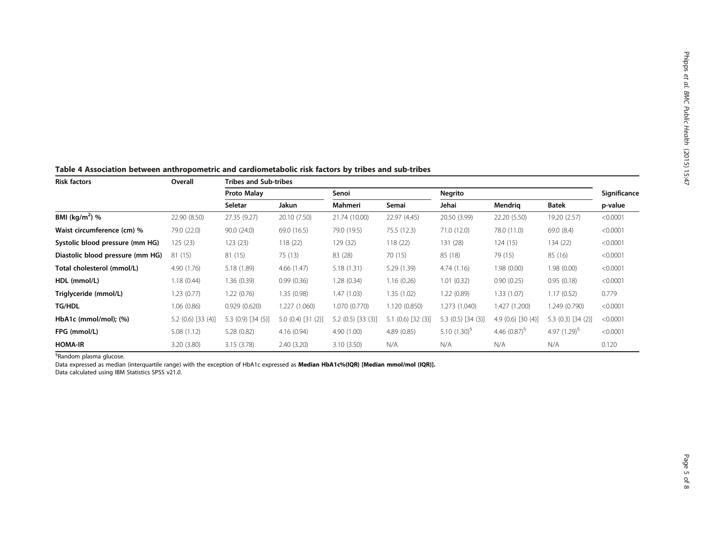| <b>Risk factors</b>              | Overall              | Tribes and Sub-tribes |                        |                      |                      |                   |                 |                      |              |
|----------------------------------|----------------------|-----------------------|------------------------|----------------------|----------------------|-------------------|-----------------|----------------------|--------------|
|                                  |                      | <b>Proto Malay</b>    |                        | Senoi                |                      | Negrito           |                 |                      | Significance |
|                                  |                      | Seletar               | Jakun                  | Mahmeri              | Semai                | Jehai             | <b>Mendrig</b>  | <b>Batek</b>         | p-value      |
| BMI ( $kg/m2$ ) %                | 22.90 (8.50)         | 27.35 (9.27)          | 20.10 (7.50)           | 21.74 (10.00)        | 22.97 (4.45)         | 20.50 (3.99)      | 22.20 (5.50)    | 19.20 (2.57)         | < 0.0001     |
| Waist circumference (cm) %       | 79.0 (22.0)          | 90.0(24.0)            | 69.0 (16.5)            | 79.0 (19.5)          | 75.5 (12.3)          | 71.0 (12.0)       | 78.0 (11.0)     | 69.0 (8.4)           | < 0.0001     |
| Systolic blood pressure (mm HG)  | 125(23)              | 123(23)               | 118 (22)               | 129 (32)             | 118 (22)             | 131 (28)          | 124(15)         | 134 (22)             | < 0.0001     |
| Diastolic blood pressure (mm HG) | 81 (15)              | 81(15)                | 75 (13)                | 83 (28)              | 70 (15)              | 85 (18)           | 79 (15)         | 85 (16)              | < 0.0001     |
| Total cholesterol (mmol/L)       | 4.90 (1.76)          | 5.18 (1.89)           | 4.66(1.47)             | 5.18(1.31)           | 5.29(1.39)           | 4.74(1.16)        | 1.98(0.00)      | 1.98(0.00)           | < 0.0001     |
| HDL (mmol/L)                     | 1.18(0.44)           | 1.36(0.39)            | 0.99(0.36)             | 1.28 (0.34)          | 1.16(0.26)           | 1.01(0.32)        | 0.90(0.25)      | 0.95(0.18)           | < 0.0001     |
| Triglyceride (mmol/L)            | 1.23 (0.77)          | 1.22(0.76)            | 1.35(0.98)             | 1.47 (1.03)          | 1.35(1.02)           | 1.22(0.89)        | 1.33(1.07)      | 1.17(0.52)           | 0.779        |
| TG/HDL                           | 1.06(0.86)           | 0.929(0.620)          | 1.227 (1.060)          | 1.070 (0.770)        | 1.120(0.850)         | 1.273 (1.040)     | 1.427 (1.200)   | 1.249 (0.790)        | < 0.0001     |
| HbA1c (mmol/mol); $(\%)$         | $5.2$ (0.6) [33 (4)] | $5.3$ (0.9) [34 (5)]  | $5.0$ (0.4) $[31$ (2)] | $5.2$ (0.5) [33 (3)] | $5.1$ (0.6) [32 (3)] | 5.3(0.5)[34(3)]   | 4.9(0.6)[30(4)] | $5.3$ (0.3) [34 (2)] | < 0.0001     |
| FPG (mmol/L)                     | 5.08(1.12)           | 5.28(0.82)            | 4.16(0.94)             | 4.90(1.00)           | 4.89(0.85)           | 5.10 $(1.30)^{9}$ | 4.46 $(0.87)^9$ | 4.97 $(1.29)^9$      | < 0.0001     |
| <b>HOMA-IR</b>                   | 3.20 (3.80)          | 3.15(3.78)            | 2.40(3.20)             | 3.10(3.50)           | N/A                  | N/A               | N/A             | N/A                  | 0.120        |

#### <span id="page-4-0"></span>Table 4 Association between anthropometric and cardiometabolic risk factors by tribes and sub-tribes

§ Random plasma glucose.

Data expressed as median (interquartile range) with the exception of HbA1c expressed as Median HbA1c%(IQR) [Median mmol/mol (IQR)].

Data calculated using IBM Statistics SPSS v21.0.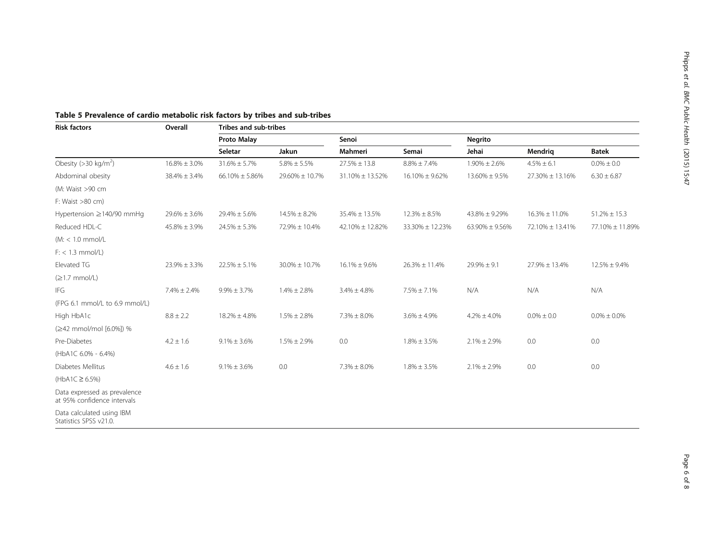| <b>Risk factors</b>                                         | Overall            | <b>Tribes and sub-tribes</b> |                     |                       |                      |                      |                     |                    |  |
|-------------------------------------------------------------|--------------------|------------------------------|---------------------|-----------------------|----------------------|----------------------|---------------------|--------------------|--|
|                                                             |                    | <b>Proto Malay</b>           |                     | Senoi                 |                      | <b>Negrito</b>       |                     |                    |  |
|                                                             |                    | Seletar                      | Jakun               | Mahmeri               | Semai                | Jehai                | Mendrig             | <b>Batek</b>       |  |
| Obesity ( $>$ 30 kg/m <sup>2</sup> )                        | $16.8\% \pm 3.0\%$ | $31.6\% \pm 5.7\%$           | $5.8\% \pm 5.5\%$   | $27.5\% \pm 13.8$     | $8.8\% \pm 7.4\%$    | $1.90\% \pm 2.6\%$   | $4.5\% \pm 6.1$     | $0.0\% \pm 0.0$    |  |
| Abdominal obesity                                           | $38.4\% \pm 3.4\%$ | $66.10\% \pm 5.86\%$         | 29.60% ± 10.7%      | $31.10\% \pm 13.52\%$ | $16.10\% \pm 9.62\%$ | $13.60\% \pm 9.5\%$  | 27.30% ± 13.16%     | $6.30 \pm 6.87$    |  |
| (M: Waist >90 cm                                            |                    |                              |                     |                       |                      |                      |                     |                    |  |
| $F: Wait > 80$ cm)                                          |                    |                              |                     |                       |                      |                      |                     |                    |  |
| Hypertension ≥140/90 mmHg                                   | $29.6\% \pm 3.6\%$ | $29.4\% \pm 5.6\%$           | $14.5\% \pm 8.2\%$  | $35.4\% \pm 13.5\%$   | $12.3\% \pm 8.5\%$   | 43.8% ± 9.29%        | $16.3\% \pm 11.0\%$ | $51.2\% \pm 15.3$  |  |
| Reduced HDL-C                                               | $45.8\% \pm 3.9\%$ | $24.5\% \pm 5.3\%$           | 72.9% ± 10.4%       | 42.10% ± 12.82%       | 33.30% ± 12.23%      | $63.90\% \pm 9.56\%$ | 72.10% ± 13.41%     | 77.10% ± 11.89%    |  |
| $(M: < 1.0$ mmol/L                                          |                    |                              |                     |                       |                      |                      |                     |                    |  |
| $F: < 1.3$ mmol/L)                                          |                    |                              |                     |                       |                      |                      |                     |                    |  |
| Elevated TG                                                 | $23.9\% \pm 3.3\%$ | $22.5\% \pm 5.1\%$           | $30.0\% \pm 10.7\%$ | $16.1\% \pm 9.6\%$    | $26.3\% \pm 11.4\%$  | $29.9\% \pm 9.1$     | $27.9\% \pm 13.4\%$ | $12.5\% \pm 9.4\%$ |  |
| $(\geq 1.7$ mmol/L)                                         |                    |                              |                     |                       |                      |                      |                     |                    |  |
| IFG                                                         | $7.4\% \pm 2.4\%$  | $9.9\% \pm 3.7\%$            | $1.4\% \pm 2.8\%$   | $3.4\% \pm 4.8\%$     | $7.5\% \pm 7.1\%$    | N/A                  | N/A                 | N/A                |  |
| (FPG 6.1 mmol/L to 6.9 mmol/L)                              |                    |                              |                     |                       |                      |                      |                     |                    |  |
| High HbA1c                                                  | $8.8 \pm 2.2$      | $18.2\% \pm 4.8\%$           | $1.5\% \pm 2.8\%$   | $7.3\% \pm 8.0\%$     | $3.6\% \pm 4.9\%$    | $4.2\% \pm 4.0\%$    | $0.0\% \pm 0.0$     | $0.0\% \pm 0.0\%$  |  |
| (≥42 mmol/mol [6.0%]) %                                     |                    |                              |                     |                       |                      |                      |                     |                    |  |
| Pre-Diabetes                                                | $4.2 \pm 1.6$      | $9.1\% \pm 3.6\%$            | $1.5\% \pm 2.9\%$   | 0.0                   | $1.8\% \pm 3.5\%$    | $2.1\% \pm 2.9\%$    | 0.0                 | 0.0                |  |
| (HbA1C 6.0% - 6.4%)                                         |                    |                              |                     |                       |                      |                      |                     |                    |  |
| Diabetes Mellitus                                           | $4.6 \pm 1.6$      | $9.1\% \pm 3.6\%$            | 0.0                 | $7.3\% \pm 8.0\%$     | $1.8\% \pm 3.5\%$    | $2.1\% \pm 2.9\%$    | 0.0                 | 0.0                |  |
| $(HbA1C \ge 6.5\%)$                                         |                    |                              |                     |                       |                      |                      |                     |                    |  |
| Data expressed as prevalence<br>at 95% confidence intervals |                    |                              |                     |                       |                      |                      |                     |                    |  |
| Data calculated using IBM<br>Statistics SPSS v21.0.         |                    |                              |                     |                       |                      |                      |                     |                    |  |

# <span id="page-5-0"></span>Table 5 Prevalence of cardio metabolic risk factors by tribes and sub-tribes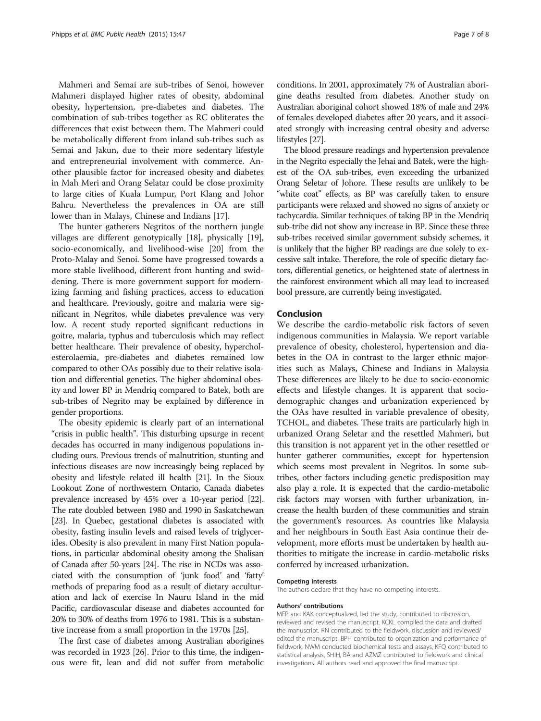Mahmeri and Semai are sub-tribes of Senoi, however Mahmeri displayed higher rates of obesity, abdominal obesity, hypertension, pre-diabetes and diabetes. The combination of sub-tribes together as RC obliterates the differences that exist between them. The Mahmeri could be metabolically different from inland sub-tribes such as Semai and Jakun, due to their more sedentary lifestyle and entrepreneurial involvement with commerce. Another plausible factor for increased obesity and diabetes in Mah Meri and Orang Selatar could be close proximity to large cities of Kuala Lumpur, Port Klang and Johor Bahru. Nevertheless the prevalences in OA are still lower than in Malays, Chinese and Indians [[17\]](#page-7-0).

The hunter gatherers Negritos of the northern jungle villages are different genotypically [\[18](#page-7-0)], physically [\[19](#page-7-0)], socio-economically, and livelihood-wise [\[20](#page-7-0)] from the Proto-Malay and Senoi. Some have progressed towards a more stable livelihood, different from hunting and swiddening. There is more government support for modernizing farming and fishing practices, access to education and healthcare. Previously, goitre and malaria were significant in Negritos, while diabetes prevalence was very low. A recent study reported significant reductions in goitre, malaria, typhus and tuberculosis which may reflect better healthcare. Their prevalence of obesity, hypercholesterolaemia, pre-diabetes and diabetes remained low compared to other OAs possibly due to their relative isolation and differential genetics. The higher abdominal obesity and lower BP in Mendriq compared to Batek, both are sub-tribes of Negrito may be explained by difference in gender proportions.

The obesity epidemic is clearly part of an international "crisis in public health". This disturbing upsurge in recent decades has occurred in many indigenous populations including ours. Previous trends of malnutrition, stunting and infectious diseases are now increasingly being replaced by obesity and lifestyle related ill health [\[21\]](#page-7-0). In the Sioux Lookout Zone of northwestern Ontario, Canada diabetes prevalence increased by 45% over a 10-year period [\[22](#page-7-0)]. The rate doubled between 1980 and 1990 in Saskatchewan [[23](#page-7-0)]. In Quebec, gestational diabetes is associated with obesity, fasting insulin levels and raised levels of triglycerides. Obesity is also prevalent in many First Nation populations, in particular abdominal obesity among the Shalisan of Canada after 50-years [\[24\]](#page-7-0). The rise in NCDs was associated with the consumption of 'junk food' and 'fatty' methods of preparing food as a result of dietary acculturation and lack of exercise In Nauru Island in the mid Pacific, cardiovascular disease and diabetes accounted for 20% to 30% of deaths from 1976 to 1981. This is a substantive increase from a small proportion in the 1970s [\[25\]](#page-7-0).

The first case of diabetes among Australian aborigines was recorded in 1923 [\[26\]](#page-7-0). Prior to this time, the indigenous were fit, lean and did not suffer from metabolic

conditions. In 2001, approximately 7% of Australian aborigine deaths resulted from diabetes. Another study on Australian aboriginal cohort showed 18% of male and 24% of females developed diabetes after 20 years, and it associated strongly with increasing central obesity and adverse lifestyles [[27\]](#page-7-0).

The blood pressure readings and hypertension prevalence in the Negrito especially the Jehai and Batek, were the highest of the OA sub-tribes, even exceeding the urbanized Orang Seletar of Johore. These results are unlikely to be "white coat" effects, as BP was carefully taken to ensure participants were relaxed and showed no signs of anxiety or tachycardia. Similar techniques of taking BP in the Mendriq sub-tribe did not show any increase in BP. Since these three sub-tribes received similar government subsidy schemes, it is unlikely that the higher BP readings are due solely to excessive salt intake. Therefore, the role of specific dietary factors, differential genetics, or heightened state of alertness in the rainforest environment which all may lead to increased bool pressure, are currently being investigated.

#### Conclusion

We describe the cardio-metabolic risk factors of seven indigenous communities in Malaysia. We report variable prevalence of obesity, cholesterol, hypertension and diabetes in the OA in contrast to the larger ethnic majorities such as Malays, Chinese and Indians in Malaysia These differences are likely to be due to socio-economic effects and lifestyle changes. It is apparent that sociodemographic changes and urbanization experienced by the OAs have resulted in variable prevalence of obesity, TCHOL, and diabetes. These traits are particularly high in urbanized Orang Seletar and the resettled Mahmeri, but this transition is not apparent yet in the other resettled or hunter gatherer communities, except for hypertension which seems most prevalent in Negritos. In some subtribes, other factors including genetic predisposition may also play a role. It is expected that the cardio-metabolic risk factors may worsen with further urbanization, increase the health burden of these communities and strain the government's resources. As countries like Malaysia and her neighbours in South East Asia continue their development, more efforts must be undertaken by health authorities to mitigate the increase in cardio-metabolic risks conferred by increased urbanization.

#### Competing interests

The authors declare that they have no competing interests.

#### Authors' contributions

MEP and KAK conceptualized, led the study, contributed to discussion, reviewed and revised the manuscript. KCKL compiled the data and drafted the manuscript. RN contributed to the fieldwork, discussion and reviewed/ edited the manuscript. BPH contributed to organization and performance of fieldwork, NWM conducted biochemical tests and assays, KFQ contributed to statistical analysis, SHIH, BA and AZMZ contributed to fieldwork and clinical investigations. All authors read and approved the final manuscript.